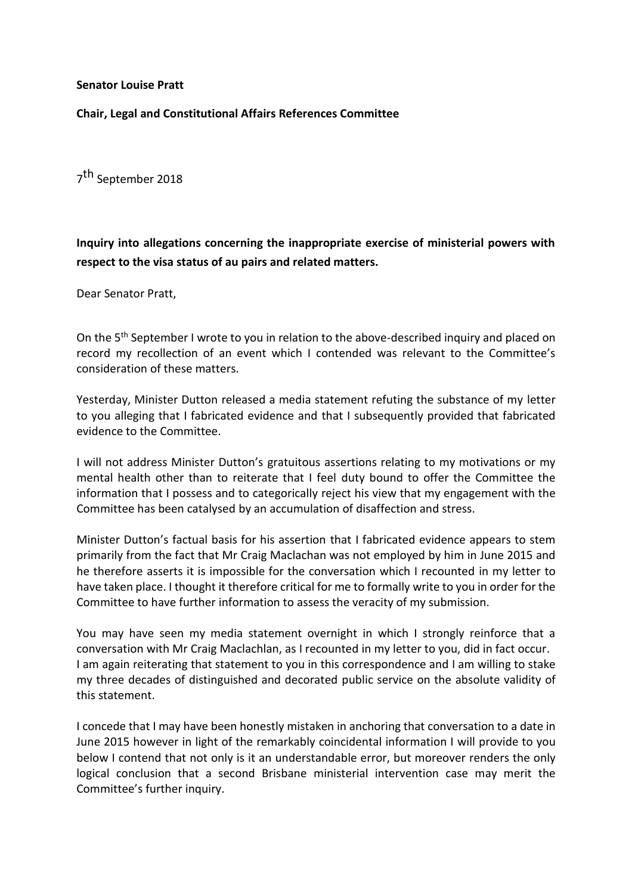**Senator Louise Pratt**

**Chair, Legal and Constitutional Affairs References Committee** 

7<sup>th</sup> September 2018

**Inquiry into allegations concerning the inappropriate exercise of ministerial powers with respect to the visa status of au pairs and related matters.** 

Dear Senator Pratt,

On the 5<sup>th</sup> September I wrote to you in relation to the above-described inquiry and placed on record my recollection of an event which I contended was relevant to the Committee's consideration of these matters.

Yesterday, Minister Dutton released a media statement refuting the substance of my letter to you alleging that I fabricated evidence and that I subsequently provided that fabricated evidence to the Committee.

I will not address Minister Dutton's gratuitous assertions relating to my motivations or my mental health other than to reiterate that I feel duty bound to offer the Committee the information that I possess and to categorically reject his view that my engagement with the Committee has been catalysed by an accumulation of disaffection and stress.

Minister Dutton's factual basis for his assertion that I fabricated evidence appears to stem primarily from the fact that Mr Craig Maclachan was not employed by him in June 2015 and he therefore asserts it is impossible for the conversation which I recounted in my letter to have taken place. I thought it therefore critical for me to formally write to you in order for the Committee to have further information to assess the veracity of my submission.

You may have seen my media statement overnight in which I strongly reinforce that a conversation with Mr Craig Maclachlan, as I recounted in my letter to you, did in fact occur. I am again reiterating that statement to you in this correspondence and I am willing to stake my three decades of distinguished and decorated public service on the absolute validity of this statement.

I concede that I may have been honestly mistaken in anchoring that conversation to a date in June 2015 however in light of the remarkably coincidental information I will provide to you below I contend that not only is it an understandable error, but moreover renders the only logical conclusion that a second Brisbane ministerial intervention case may merit the Committee's further inquiry.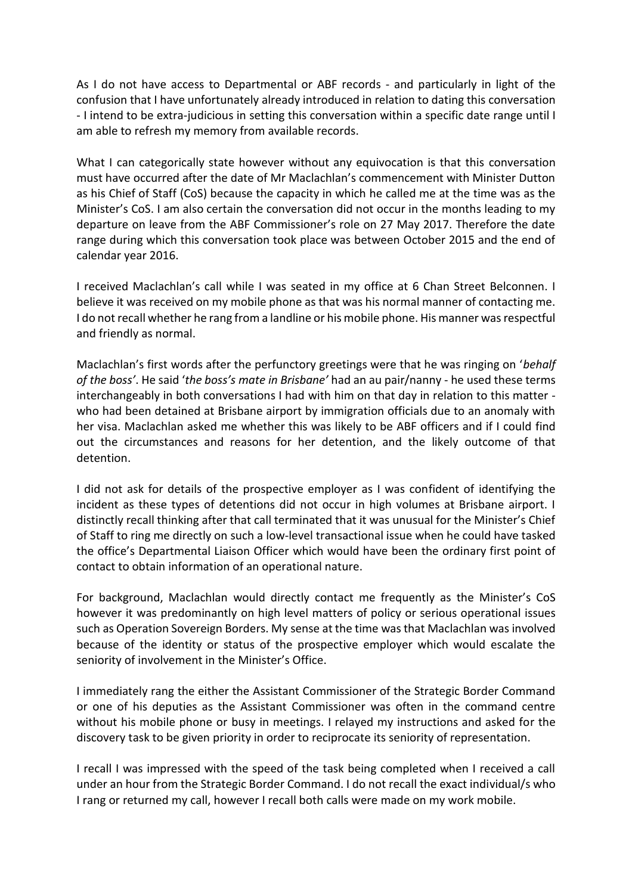As I do not have access to Departmental or ABF records - and particularly in light of the confusion that I have unfortunately already introduced in relation to dating this conversation - I intend to be extra-judicious in setting this conversation within a specific date range until I am able to refresh my memory from available records.

What I can categorically state however without any equivocation is that this conversation must have occurred after the date of Mr Maclachlan's commencement with Minister Dutton as his Chief of Staff (CoS) because the capacity in which he called me at the time was as the Minister's CoS. I am also certain the conversation did not occur in the months leading to my departure on leave from the ABF Commissioner's role on 27 May 2017. Therefore the date range during which this conversation took place was between October 2015 and the end of calendar year 2016.

I received Maclachlan's call while I was seated in my office at 6 Chan Street Belconnen. I believe it was received on my mobile phone as that was his normal manner of contacting me. I do not recall whether he rang from a landline or his mobile phone. His manner was respectful and friendly as normal.

Maclachlan's first words after the perfunctory greetings were that he was ringing on '*behalf of the boss'*. He said '*the boss's mate in Brisbane'* had an au pair/nanny - he used these terms interchangeably in both conversations I had with him on that day in relation to this matter who had been detained at Brisbane airport by immigration officials due to an anomaly with her visa. Maclachlan asked me whether this was likely to be ABF officers and if I could find out the circumstances and reasons for her detention, and the likely outcome of that detention.

I did not ask for details of the prospective employer as I was confident of identifying the incident as these types of detentions did not occur in high volumes at Brisbane airport. I distinctly recall thinking after that call terminated that it was unusual for the Minister's Chief of Staff to ring me directly on such a low-level transactional issue when he could have tasked the office's Departmental Liaison Officer which would have been the ordinary first point of contact to obtain information of an operational nature.

For background, Maclachlan would directly contact me frequently as the Minister's CoS however it was predominantly on high level matters of policy or serious operational issues such as Operation Sovereign Borders. My sense at the time was that Maclachlan was involved because of the identity or status of the prospective employer which would escalate the seniority of involvement in the Minister's Office.

I immediately rang the either the Assistant Commissioner of the Strategic Border Command or one of his deputies as the Assistant Commissioner was often in the command centre without his mobile phone or busy in meetings. I relayed my instructions and asked for the discovery task to be given priority in order to reciprocate its seniority of representation.

I recall I was impressed with the speed of the task being completed when I received a call under an hour from the Strategic Border Command. I do not recall the exact individual/s who I rang or returned my call, however I recall both calls were made on my work mobile.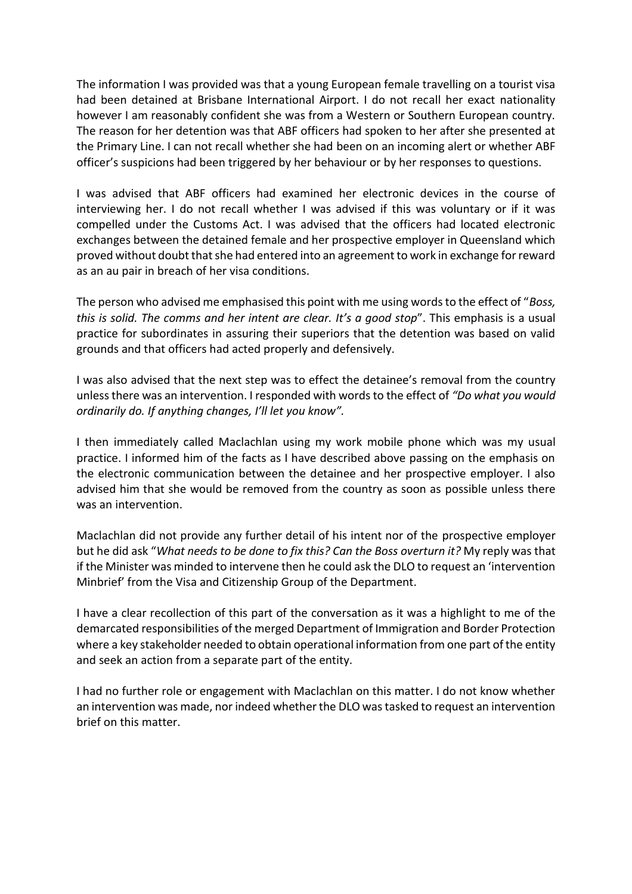The information I was provided was that a young European female travelling on a tourist visa had been detained at Brisbane International Airport. I do not recall her exact nationality however I am reasonably confident she was from a Western or Southern European country. The reason for her detention was that ABF officers had spoken to her after she presented at the Primary Line. I can not recall whether she had been on an incoming alert or whether ABF officer's suspicions had been triggered by her behaviour or by her responses to questions.

I was advised that ABF officers had examined her electronic devices in the course of interviewing her. I do not recall whether I was advised if this was voluntary or if it was compelled under the Customs Act. I was advised that the officers had located electronic exchanges between the detained female and her prospective employer in Queensland which proved without doubt that she had entered into an agreement to work in exchange for reward as an au pair in breach of her visa conditions.

The person who advised me emphasised this point with me using words to the effect of "*Boss, this is solid. The comms and her intent are clear. It's a good stop*". This emphasis is a usual practice for subordinates in assuring their superiors that the detention was based on valid grounds and that officers had acted properly and defensively.

I was also advised that the next step was to effect the detainee's removal from the country unless there was an intervention. I responded with words to the effect of *"Do what you would ordinarily do. If anything changes, I'll let you know".*

I then immediately called Maclachlan using my work mobile phone which was my usual practice. I informed him of the facts as I have described above passing on the emphasis on the electronic communication between the detainee and her prospective employer. I also advised him that she would be removed from the country as soon as possible unless there was an intervention.

Maclachlan did not provide any further detail of his intent nor of the prospective employer but he did ask "*What needs to be done to fix this? Can the Boss overturn it?* My reply was that if the Minister was minded to intervene then he could ask the DLO to request an 'intervention Minbrief' from the Visa and Citizenship Group of the Department.

I have a clear recollection of this part of the conversation as it was a highlight to me of the demarcated responsibilities of the merged Department of Immigration and Border Protection where a key stakeholder needed to obtain operational information from one part of the entity and seek an action from a separate part of the entity.

I had no further role or engagement with Maclachlan on this matter. I do not know whether an intervention was made, nor indeed whether the DLO was tasked to request an intervention brief on this matter.